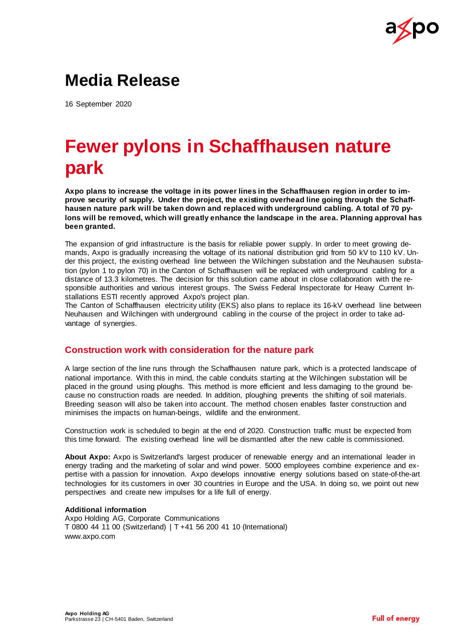

## **Media Release**

16 September 2020

## **Fewer pylons in Schaffhausen nature park**

**Axpo plans to increase the voltage in its power lines in the Schaffhausen region in order to improve security of supply. Under the project, the existing overhead line going through the Schaffhausen nature park will be taken down and replaced with underground cabling. A total of 70 pylons will be removed, which will greatly enhance the landscape in the area. Planning approval has been granted.**

The expansion of grid infrastructure is the basis for reliable power supply. In order to meet growing demands, Axpo is gradually increasing the voltage of its national distribution grid from 50 kV to 110 kV. Under this project, the existing overhead line between the Wilchingen substation and the Neuhausen substation (pylon 1 to pylon 70) in the Canton of Schaffhausen will be replaced with underground cabling for a distance of 13.3 kilometres. The decision for this solution came about in close collaboration with the responsible authorities and various interest groups. The Swiss Federal Inspectorate for Heavy Current Installations ESTI recently approved Axpo's project plan.

The Canton of Schaffhausen electricity utility (EKS) also plans to replace its 16-kV overhead line between Neuhausen and Wilchingen with underground cabling in the course of the project in order to take advantage of synergies.

## **Construction work with consideration for the nature park**

A large section of the line runs through the Schaffhausen nature park, which is a protected landscape of national importance. With this in mind, the cable conduits starting at the Wilchingen substation will be placed in the ground using ploughs. This method is more efficient and less damaging to the ground because no construction roads are needed. In addition, ploughing prevents the shifting of soil materials. Breeding season will also be taken into account. The method chosen enables faster construction and minimises the impacts on human-beings, wildlife and the environment.

Construction work is scheduled to begin at the end of 2020. Construction traffic must be expected from this time forward. The existing overhead line will be dismantled after the new cable is commissioned.

**About Axpo:** Axpo is Switzerland's largest producer of renewable energy and an international leader in energy trading and the marketing of solar and wind power. 5000 employees combine experience and expertise with a passion for innovation. Axpo develops innovative energy solutions based on state-of-the-art technologies for its customers in over 30 countries in Europe and the USA. In doing so, we point out new perspectives and create new impulses for a life full of energy.

## **Additional information**

Axpo Holding AG, Corporate Communications T 0800 44 11 00 (Switzerland) | T +41 56 200 41 10 (International) www.axpo.com